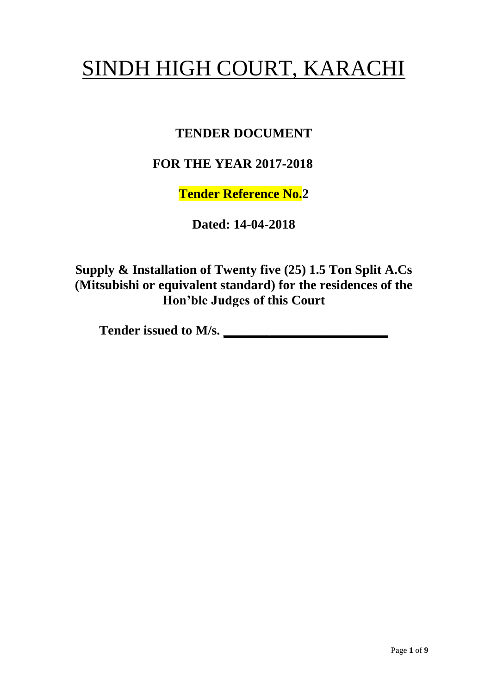# SINDH HIGH COURT, KARACHI

# **TENDER DOCUMENT**

## **FOR THE YEAR 2017-2018**

**Tender Reference No.2**

**Dated: 14-04-2018**

**Supply & Installation of Twenty five (25) 1.5 Ton Split A.Cs (Mitsubishi or equivalent standard) for the residences of the Hon'ble Judges of this Court**

**Tender issued to M/s. \_\_\_\_\_\_\_\_\_\_\_\_\_\_\_\_\_\_\_\_\_\_\_\_\_**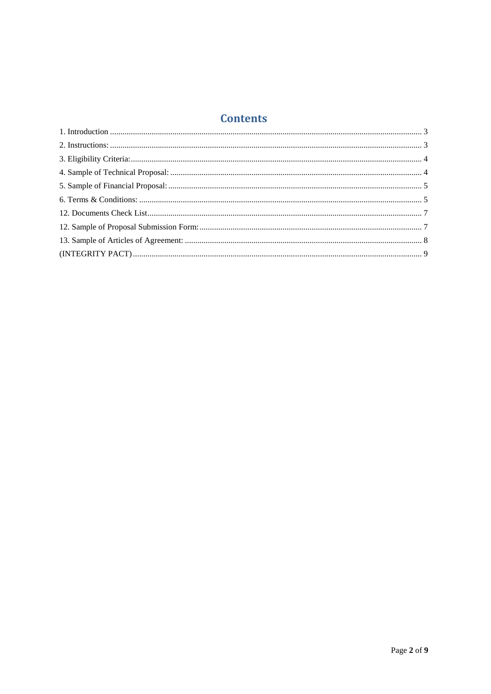## **Contents**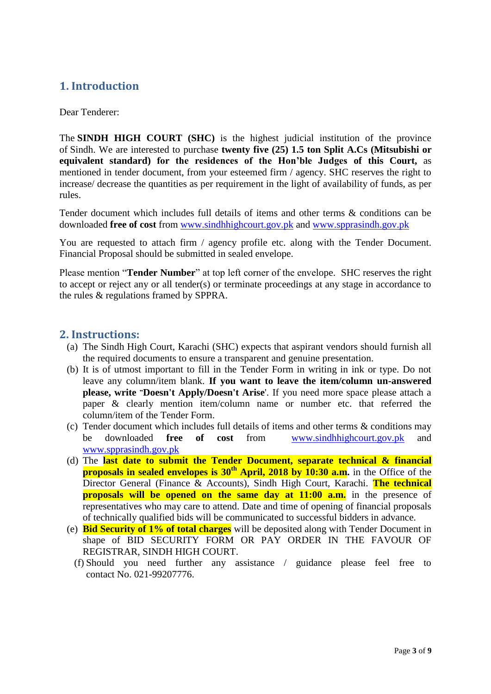#### <span id="page-2-0"></span>**1. Introduction**

Dear Tenderer:

The **SINDH HIGH COURT (SHC)** is the highest judicial institution of the province of [Sindh.](https://en.wikipedia.org/wiki/Sindh) We are interested to purchase **twenty five (25) 1.5 ton Split A.Cs (Mitsubishi or equivalent standard) for the residences of the Hon'ble Judges of this Court,** as mentioned in tender document, from your esteemed firm / agency. SHC reserves the right to increase/ decrease the quantities as per requirement in the light of availability of funds, as per rules.

Tender document which includes full details of items and other terms & conditions can be downloaded **free of cost** from [www.sindhhighcourt.gov.pk](http://www.sindhhighcourt.gov.pk/) and [www.spprasindh.gov.pk](http://www.spprasindh.gov.pk/)

You are requested to attach firm / agency profile etc. along with the Tender Document. Financial Proposal should be submitted in sealed envelope.

Please mention "**Tender Number**" at top left corner of the envelope. SHC reserves the right to accept or reject any or all tender(s) or terminate proceedings at any stage in accordance to the rules & regulations framed by SPPRA.

#### <span id="page-2-1"></span>**2. Instructions:**

- (a) The Sindh High Court, Karachi (SHC) expects that aspirant vendors should furnish all the required documents to ensure a transparent and genuine presentation.
- (b) It is of utmost important to fill in the Tender Form in writing in ink or type. Do not leave any column/item blank. **If you want to leave the item/column un-answered please, write "Doesn't Apply/Doesn't Arise**'. If you need more space please attach a paper & clearly mention item/column name or number etc. that referred the column/item of the Tender Form.
- (c) Tender document which includes full details of items and other terms & conditions may be downloaded **free of cost** from [www.sindhhighcourt.gov.pk](http://www.sindhhighcourt.gov.pk/) and [www.spprasindh.gov.pk](http://www.spprasindh.gov.pk/)
- (d) The **last date to submit the Tender Document, separate technical & financial proposals in sealed envelopes is 30th April, 2018 by 10:30 a.m.** in the Office of the Director General (Finance & Accounts), Sindh High Court, Karachi. **The technical proposals will be opened on the same day at 11:00 a.m.** in the presence of representatives who may care to attend. Date and time of opening of financial proposals of technically qualified bids will be communicated to successful bidders in advance.
- (e) **Bid Security of 1% of total charges** will be deposited along with Tender Document in shape of BID SECURITY FORM OR PAY ORDER IN THE FAVOUR OF REGISTRAR, SINDH HIGH COURT.
	- (f) Should you need further any assistance / guidance please feel free to contact No. 021-99207776.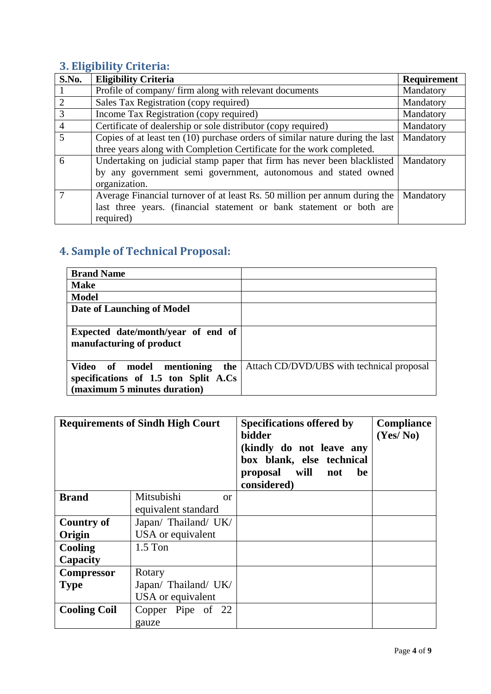# <span id="page-3-0"></span>**3. Eligibility Criteria:**

| <b>S.No.</b>   | <b>Eligibility Criteria</b>                                                   | <b>Requirement</b> |
|----------------|-------------------------------------------------------------------------------|--------------------|
|                | Profile of company/firm along with relevant documents                         | Mandatory          |
| $\overline{2}$ | Sales Tax Registration (copy required)                                        | Mandatory          |
| 3              | Income Tax Registration (copy required)                                       | Mandatory          |
| $\overline{4}$ | Certificate of dealership or sole distributor (copy required)                 | Mandatory          |
| $\overline{5}$ | Copies of at least ten (10) purchase orders of similar nature during the last | Mandatory          |
|                | three years along with Completion Certificate for the work completed.         |                    |
| 6              | Undertaking on judicial stamp paper that firm has never been blacklisted      | Mandatory          |
|                | by any government semi government, autonomous and stated owned                |                    |
|                | organization.                                                                 |                    |
| $\overline{7}$ | Average Financial turnover of at least Rs. 50 million per annum during the    | Mandatory          |
|                | last three years. (financial statement or bank statement or both are          |                    |
|                | required)                                                                     |                    |

# <span id="page-3-1"></span>**4. Sample of Technical Proposal:**

| <b>Brand Name</b>                    |                                           |
|--------------------------------------|-------------------------------------------|
| <b>Make</b>                          |                                           |
| <b>Model</b>                         |                                           |
| Date of Launching of Model           |                                           |
|                                      |                                           |
| Expected date/month/year of end of   |                                           |
| manufacturing of product             |                                           |
|                                      |                                           |
| Video of model mentioning<br>the     | Attach CD/DVD/UBS with technical proposal |
| specifications of 1.5 ton Split A.Cs |                                           |
| (maximum 5 minutes duration)         |                                           |

| <b>Requirements of Sindh High Court</b> |                        | <b>Specifications offered by</b><br>bidder<br>(kindly do not leave any<br>box blank, else technical<br>proposal will not<br>be<br>considered) | <b>Compliance</b><br>(Yes/No) |
|-----------------------------------------|------------------------|-----------------------------------------------------------------------------------------------------------------------------------------------|-------------------------------|
| <b>Brand</b>                            | Mitsubishi<br>$\alpha$ |                                                                                                                                               |                               |
|                                         | equivalent standard    |                                                                                                                                               |                               |
| <b>Country of</b>                       | Japan/ Thailand/ UK/   |                                                                                                                                               |                               |
| Origin                                  | USA or equivalent      |                                                                                                                                               |                               |
| Cooling                                 | $1.5$ Ton              |                                                                                                                                               |                               |
| Capacity                                |                        |                                                                                                                                               |                               |
| <b>Compressor</b>                       | Rotary                 |                                                                                                                                               |                               |
| <b>Type</b>                             | Japan/ Thailand/ UK/   |                                                                                                                                               |                               |
|                                         | USA or equivalent      |                                                                                                                                               |                               |
| <b>Cooling Coil</b>                     | Copper Pipe of 22      |                                                                                                                                               |                               |
|                                         | gauze                  |                                                                                                                                               |                               |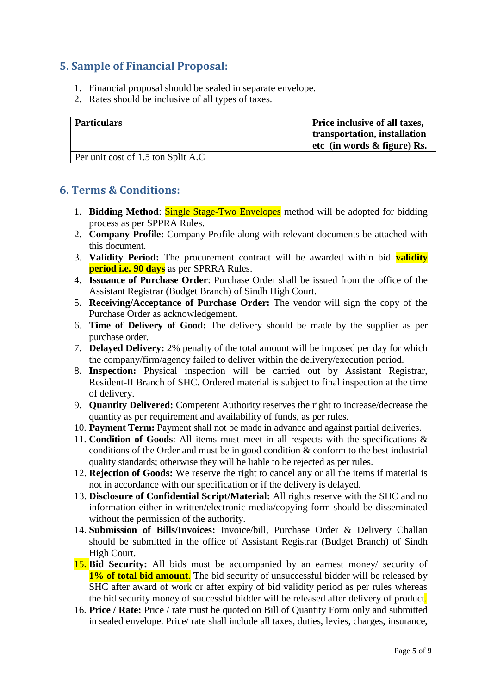## <span id="page-4-0"></span>**5. Sample of Financial Proposal:**

- 1. Financial proposal should be sealed in separate envelope.
- 2. Rates should be inclusive of all types of taxes.

| <b>Particulars</b>                  | Price inclusive of all taxes,  |
|-------------------------------------|--------------------------------|
|                                     | transportation, installation   |
|                                     | etc (in words $\&$ figure) Rs. |
| Per unit cost of 1.5 ton Split A.C. |                                |

#### <span id="page-4-1"></span>**6. Terms & Conditions:**

- 1. **Bidding Method**: Single Stage-Two Envelopes method will be adopted for bidding process as per SPPRA Rules.
- 2. **Company Profile:** Company Profile along with relevant documents be attached with this document.
- 3. **Validity Period:** The procurement contract will be awarded within bid **validity period i.e. 90 days** as per SPRRA Rules.
- 4. **Issuance of Purchase Order**: Purchase Order shall be issued from the office of the Assistant Registrar (Budget Branch) of Sindh High Court.
- 5. **Receiving/Acceptance of Purchase Order:** The vendor will sign the copy of the Purchase Order as acknowledgement.
- 6. **Time of Delivery of Good:** The delivery should be made by the supplier as per purchase order.
- 7. **Delayed Delivery:** 2% penalty of the total amount will be imposed per day for which the company/firm/agency failed to deliver within the delivery/execution period.
- 8. **Inspection:** Physical inspection will be carried out by Assistant Registrar, Resident-II Branch of SHC. Ordered material is subject to final inspection at the time of delivery.
- 9. **Quantity Delivered:** Competent Authority reserves the right to increase/decrease the quantity as per requirement and availability of funds, as per rules.
- 10. **Payment Term:** Payment shall not be made in advance and against partial deliveries.
- 11. **Condition of Goods**: All items must meet in all respects with the specifications & conditions of the Order and must be in good condition & conform to the best industrial quality standards; otherwise they will be liable to be rejected as per rules.
- 12. **Rejection of Goods:** We reserve the right to cancel any or all the items if material is not in accordance with our specification or if the delivery is delayed.
- 13. **Disclosure of Confidential Script/Material:** All rights reserve with the SHC and no information either in written/electronic media/copying form should be disseminated without the permission of the authority.
- 14. **Submission of Bills/Invoices:** Invoice/bill, Purchase Order & Delivery Challan should be submitted in the office of Assistant Registrar (Budget Branch) of Sindh High Court.
- 15. **Bid Security:** All bids must be accompanied by an earnest money/ security of **1% of total bid amount**. The bid security of unsuccessful bidder will be released by SHC after award of work or after expiry of bid validity period as per rules whereas the bid security money of successful bidder will be released after delivery of product.
- 16. **Price / Rate:** Price / rate must be quoted on Bill of Quantity Form only and submitted in sealed envelope. Price/ rate shall include all taxes, duties, levies, charges, insurance,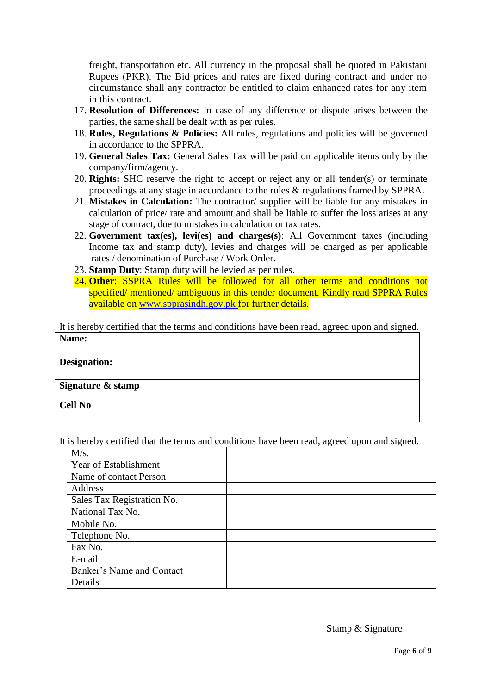freight, transportation etc. All currency in the proposal shall be quoted in Pakistani Rupees (PKR). The Bid prices and rates are fixed during contract and under no circumstance shall any contractor be entitled to claim enhanced rates for any item in this contract.

- 17. **Resolution of Differences:** In case of any difference or dispute arises between the parties, the same shall be dealt with as per rules.
- 18. **Rules, Regulations & Policies:** All rules, regulations and policies will be governed in accordance to the SPPRA.
- 19. **General Sales Tax:** General Sales Tax will be paid on applicable items only by the company/firm/agency.
- 20. **Rights:** SHC reserve the right to accept or reject any or all tender(s) or terminate proceedings at any stage in accordance to the rules & regulations framed by SPPRA.
- 21. **Mistakes in Calculation:** The contractor/ supplier will be liable for any mistakes in calculation of price/ rate and amount and shall be liable to suffer the loss arises at any stage of contract, due to mistakes in calculation or tax rates.
- 22. **Government tax(es), levi(es) and charges(s)**: All Government taxes (including Income tax and stamp duty), levies and charges will be charged as per applicable rates / denomination of Purchase / Work Order.
- 23. **Stamp Duty**: Stamp duty will be levied as per rules.
- 24. **Other**: SSPRA Rules will be followed for all other terms and conditions not specified/ mentioned/ ambiguous in this tender document. Kindly read SPPRA Rules available on [www.spprasindh.gov.pk](http://www.spprasindh.gov.pk/) for further details.

It is hereby certified that the terms and conditions have been read, agreed upon and signed.

| Name:             |  |
|-------------------|--|
| Designation:      |  |
| Signature & stamp |  |
| <b>Cell No</b>    |  |

It is hereby certified that the terms and conditions have been read, agreed upon and signed.

| M/s.                       |  |
|----------------------------|--|
| Year of Establishment      |  |
| Name of contact Person     |  |
| Address                    |  |
| Sales Tax Registration No. |  |
| National Tax No.           |  |
| Mobile No.                 |  |
| Telephone No.              |  |
| Fax No.                    |  |
| E-mail                     |  |
| Banker's Name and Contact  |  |
| Details                    |  |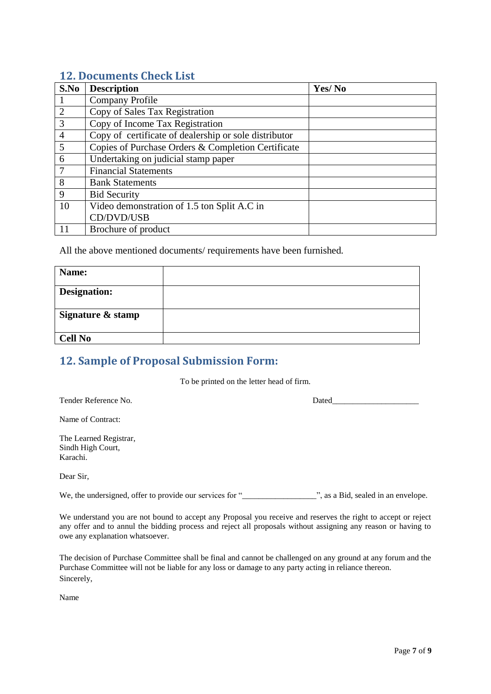#### <span id="page-6-0"></span>**12. Documents Check List**

| S.No           | <b>Description</b>                                    | Yes/No |
|----------------|-------------------------------------------------------|--------|
|                | Company Profile                                       |        |
| $\overline{2}$ | Copy of Sales Tax Registration                        |        |
| $\overline{3}$ | Copy of Income Tax Registration                       |        |
| $\overline{4}$ | Copy of certificate of dealership or sole distributor |        |
| $\overline{5}$ | Copies of Purchase Orders & Completion Certificate    |        |
| 6              | Undertaking on judicial stamp paper                   |        |
|                | <b>Financial Statements</b>                           |        |
| 8              | <b>Bank Statements</b>                                |        |
| 9              | <b>Bid Security</b>                                   |        |
| 10             | Video demonstration of 1.5 ton Split A.C in           |        |
|                | CD/DVD/USB                                            |        |
| 11             | Brochure of product                                   |        |

All the above mentioned documents/ requirements have been furnished.

| Name:               |  |
|---------------------|--|
| <b>Designation:</b> |  |
| Signature & stamp   |  |
| <b>Cell No</b>      |  |

## <span id="page-6-1"></span>**12. Sample of Proposal Submission Form:**

To be printed on the letter head of firm.

| Tender Reference No. |  |
|----------------------|--|
|                      |  |

Dated  $\Box$ 

Name of Contract:

The Learned Registrar, Sindh High Court, Karachi.

Dear Sir,

We, the undersigned, offer to provide our services for "\_\_\_\_\_\_\_\_\_\_\_\_\_\_\_\_\_\_\_\_\_\_", as a Bid, sealed in an envelope.

We understand you are not bound to accept any Proposal you receive and reserves the right to accept or reject any offer and to annul the bidding process and reject all proposals without assigning any reason or having to owe any explanation whatsoever.

The decision of Purchase Committee shall be final and cannot be challenged on any ground at any forum and the Purchase Committee will not be liable for any loss or damage to any party acting in reliance thereon. Sincerely,

Name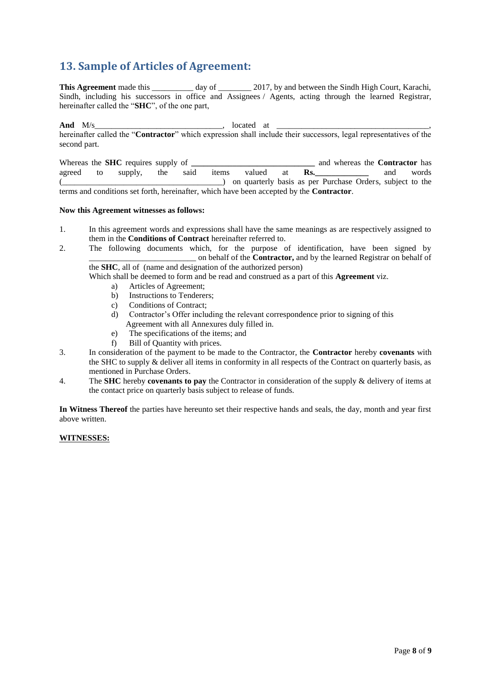## <span id="page-7-0"></span>**13. Sample of Articles of Agreement:**

**This Agreement** made this day of 2017, by and between the Sindh High Court, Karachi, Sindh, including his successors in office and Assignees / Agents, acting through the learned Registrar, hereinafter called the "**SHC**", of the one part,

**And** M/s\_\_\_\_\_\_\_\_\_\_\_\_\_\_\_\_\_\_\_\_\_\_\_\_\_\_\_\_\_\_\_, located at \_\_\_\_\_\_\_\_\_\_\_\_\_\_\_\_\_\_\_\_\_\_\_\_\_\_\_\_\_\_\_\_\_\_\_\_\_, hereinafter called the "**Contractor**" which expression shall include their successors, legal representatives of the second part.

Whereas the **SHC** requires supply of **\_\_\_\_\_\_\_\_\_\_\_\_\_\_\_\_\_\_\_\_\_\_\_\_\_\_\_\_\_\_** and whereas the **Contractor** has agreed to supply, the said items valued at **Rs.\_\_\_\_\_\_\_\_\_\_\_\_\_** and words (\_\_\_\_\_\_\_\_\_\_\_\_\_\_\_\_\_\_\_\_\_\_\_\_\_\_\_\_\_\_\_\_\_\_\_\_\_\_\_) on quarterly basis as per Purchase Orders, subject to the terms and conditions set forth, hereinafter, which have been accepted by the **Contractor**.

#### **Now this Agreement witnesses as follows:**

- 1. In this agreement words and expressions shall have the same meanings as are respectively assigned to them in the **Conditions of Contract** hereinafter referred to.
- 2. The following documents which, for the purpose of identification, have been signed by \_\_\_\_\_\_\_\_\_\_\_\_\_\_\_\_\_\_\_\_\_\_\_\_\_\_ on behalf of the **Contractor,** and by the learned Registrar on behalf of the **SHC**, all of (name and designation of the authorized person)

Which shall be deemed to form and be read and construed as a part of this **Agreement** viz.

- a) Articles of Agreement;
- b) Instructions to Tenderers;
- c) Conditions of Contract;
- d) Contractor"s Offer including the relevant correspondence prior to signing of this Agreement with all Annexures duly filled in.
- e) The specifications of the items; and
- f) Bill of Quantity with prices.
- 3. In consideration of the payment to be made to the Contractor, the **Contractor** hereby **covenants** with the SHC to supply & deliver all items in conformity in all respects of the Contract on quarterly basis, as mentioned in Purchase Orders.
- 4. The **SHC** hereby **covenants to pay** the Contractor in consideration of the supply & delivery of items at the contact price on quarterly basis subject to release of funds.

**In Witness Thereof** the parties have hereunto set their respective hands and seals, the day, month and year first above written.

#### **WITNESSES:**